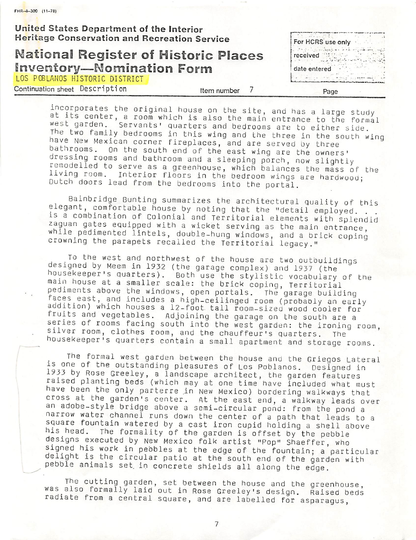$FHR - 8 - 300$  (11-78)

United States Department of the Interior

## Heritage Conservation and Recreation Service<br>National Register of Historic Places received National Register of Historic Places Inventory—Nomination Form date entered LOS POBLANOS HISTORIC DISTRICT

Continuation sheet Description entitled that the number 7 and Page

incorporates the original house on the site, and has a large study<br>at its center, a room which is also the main entrance to the formal west garden. Servants' quarters and bedrooms are to either side.<br>The two family bedrooms in this wing and the three in the south wing nave New Mexican corner fireplaces, and are served by three bathrooms, on the south end of the east wing are the owners' dressing rooms and bathroom and a sleeping porch, now slightly<br>remodelled to serve as a greenhouse, which balances the mass of the remodelled to serve as a greenhouse, which balances the mass of the<br>living room. Interior floors in the bedroom wings are hardwood;<br>Dutch doors lead from the bedrooms into the portal.

Bainbridge Bunting summarizes the architectural quality of this elegant, comfortable house by noting that the "detail employed. ..<br>is a combination of Colonial and Territorial elements with splendid zaguan gates equipped with a wicket serving as the main entrance, while pedimented lintels, double-hung windows, and a brick coping crowning the parapets recalled the Territorial legacy,"

To the west and northwest of the house are two outbuildings designed by Meem in 1932 (the garage complex) and 1937 (the housekeeper's quarters). Both use the stylistic vocabulary of the main house at a smaller scale: the brick coping. Territorial pediments above the windows, open portals. The garage building<br>faces east, and includes a high-ceilinged room (probably an early addition) which houses a 12-foot tall room-sized wood cooler for<br>fruits and vegetables. Adjoining the garage on the south are a series of rooms facing south into the west garden: the ironing room, silver room, clothes room, and the chauffeur's quarters. The housekeeper's quarters contain a small apartment and storage rooms.

The formal west garden between the house and the Griegos Lateral<br>is one of the outstanding pleasures of Los Poblanos. Designed in<br>1933 by Rose Greeley, a landscape architect, the garden features raised planting beds (which may at one time have included what must have been the only parterre in New Mexico) bordering walkways that cross at the garden's center. At the east end, a walkway leads over an adobe-style bridge above a semi-circular pond: from the pond a narrow water channel runs down the center of a path that leads to a square fountain watered by a cast iron cupid holding a shell above his head. The formality of the garden is offset by the pebble designs executed by New Mexico folk artist "Pop" Shaeffer, who<br>signed his work in pebbles at the edge of the fountain; a particular delight is the circular patio at the south end of the garden with pebble animals set in concrete shields all along the edge.

The cutting garden, set between the house and the greenhouse, was also formally laid out in Rose Greeley's design. Raised beds radiate from a central square, and are labelled for asparagus,